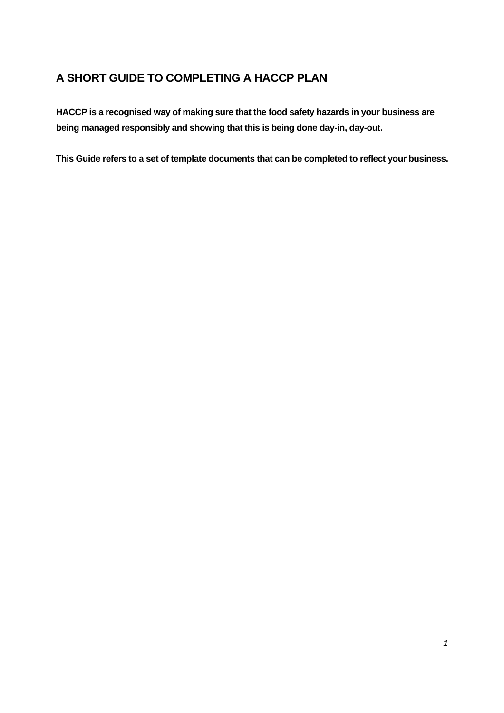## **A SHORT GUIDE TO COMPLETING A HACCP PLAN**

**HACCP is a recognised way of making sure that the food safety hazards in your business are being managed responsibly and showing that this is being done day-in, day-out.** 

**This Guide refers to a set of template documents that can be completed to reflect your business.**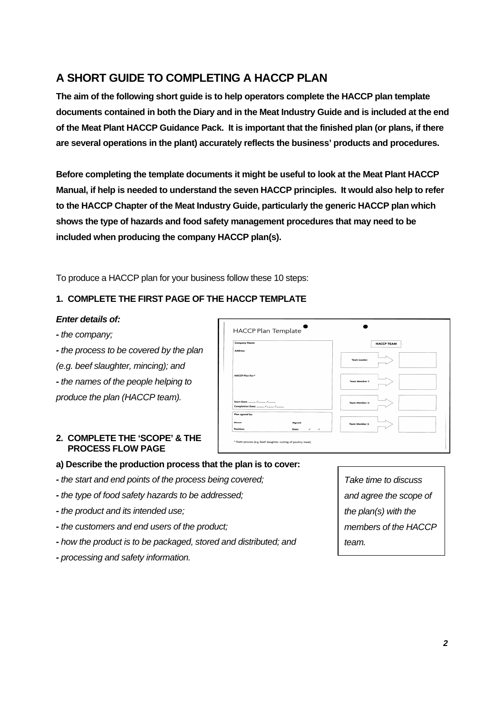# **A SHORT GUIDE TO COMPLETING A HACCP PLAN**

**The aim of the following short guide is to help operators complete the HACCP plan template documents contained in both the Diary and in the Meat Industry Guide and is included at the end of the Meat Plant HACCP Guidance Pack. It is important that the finished plan (or plans, if there are several operations in the plant) accurately reflects the business' products and procedures.** 

**Before completing the template documents it might be useful to look at the Meat Plant HACCP Manual, if help is needed to understand the seven HACCP principles. It would also help to refer to the HACCP Chapter of the Meat Industry Guide, particularly the generic HACCP plan which shows the type of hazards and food safety management procedures that may need to be included when producing the company HACCP plan(s).** 

To produce a HACCP plan for your business follow these 10 steps:

## **1. COMPLETE THE FIRST PAGE OF THE HACCP TEMPLATE**

#### *Enter details of:*

*- the company;* 

*- the process to be covered by the plan* 

*(e.g. beef slaughter, mincing); and* 

*- the names of the people helping to* 

*produce the plan (HACCP team).* 

## **2. COMPLETE THE 'SCOPE' & THE PROCESS FLOW PAGE**

| HACCP Plan Template       |                                       |                       |
|---------------------------|---------------------------------------|-----------------------|
| <b>Company Name:</b>      |                                       | <b>HACCP TEAM</b>     |
| Address:                  |                                       |                       |
|                           |                                       | <b>Team Leader:</b>   |
| <b>HACCP Plan for:*</b>   |                                       | <b>Team Member 1:</b> |
|                           |                                       | <b>Team Member 2:</b> |
| Plan agreed by:           |                                       |                       |
| <b>Names</b><br>Position: | Signed:<br>Date:<br>$\prime$ $\prime$ | <b>Team Member 3:</b> |

## **a) Describe the production process that the plan is to cover:**

- *- the start and end points of the process being covered;*
- *- the type of food safety hazards to be addressed;*
- *- the product and its intended use;*
- *- the customers and end users of the product;*
- *- how the product is to be packaged, stored and distributed; and*
- *- processing and safety information.*

*Take time to discuss and agree the scope of the plan(s) with the members of the HACCP team.*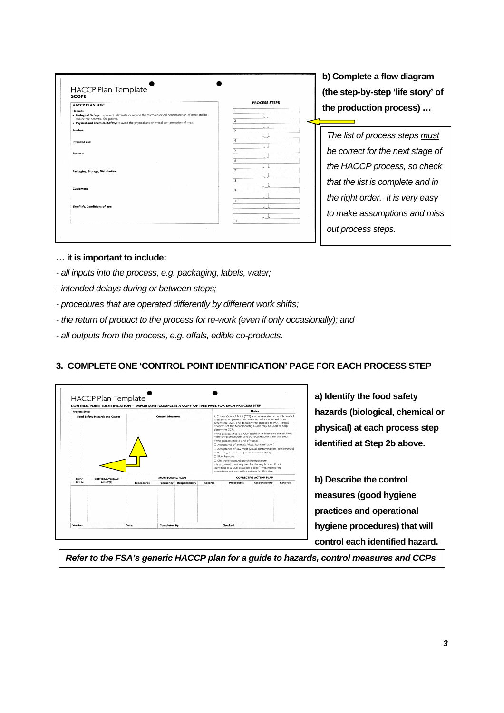**b) Complete a flow diagram (the step-by-step 'life story' of the production process) …** 

*The list of process steps must be correct for the next stage of the HACCP process, so check that the list is complete and in the right order. It is very easy to make assumptions and miss out process steps.*

- **… it is important to include:**
- *all inputs into the process, e.g. packaging, labels, water;*
- *intended delays during or between steps;*
- *procedures that are operated differently by different work shifts;*
- *the return of product to the process for re-work (even if only occasionally); and*
- *all outputs from the process, e.g. offals, edible co-products.*

## **3. COMPLETE ONE 'CONTROL POINT IDENTIFICATION' PAGE FOR EACH PROCESS STEP**



**a) Identify the food safety hazards (biological, chemical or physical) at each process step identified at Step 2b above.** 

**b) Describe the control measures (good hygiene practices and operational hygiene procedures) that will control each identified hazard.** 

*Refer to the FSA's generic HACCP plan for a guide to hazards, control measures and CCPs*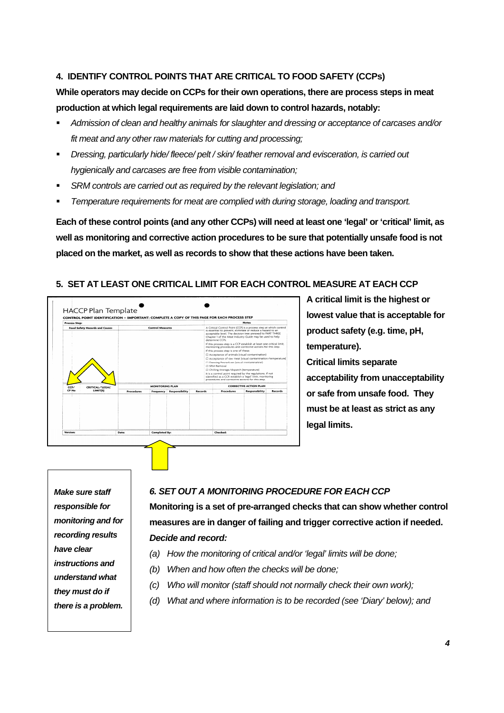## **4. IDENTIFY CONTROL POINTS THAT ARE CRITICAL TO FOOD SAFETY (CCPs)**

## **While operators may decide on CCPs for their own operations, there are process steps in meat production at which legal requirements are laid down to control hazards, notably:**

- *Admission of clean and healthy animals for slaughter and dressing or acceptance of carcases and/or fit meat and any other raw materials for cutting and processing;*
- *Dressing, particularly hide/ fleece/ pelt / skin/ feather removal and evisceration, is carried out hygienically and carcases are free from visible contamination;*
- *SRM controls are carried out as required by the relevant legislation; and*
- *Temperature requirements for meat are complied with during storage, loading and transport.*

**Each of these control points (and any other CCPs) will need at least one 'legal' or 'critical' limit, as well as monitoring and corrective action procedures to be sure that potentially unsafe food is not placed on the market, as well as records to show that these actions have been taken.** 

## **5. SET AT LEAST ONE CRITICAL LIMIT FOR EACH CONTROL MEASURE AT EACH CCP**



**A critical limit is the highest or lowest value that is acceptable for product safety (e.g. time, pH, temperature). Critical limits separate acceptability from unacceptability or safe from unsafe food. They must be at least as strict as any legal limits.** 

*Make sure staff responsible for monitoring and for recording results have clear instructions and understand what they must do if there is a problem.*

#### *6. SET OUT A MONITORING PROCEDURE FOR EACH CCP*

**Monitoring is a set of pre-arranged checks that can show whether control measures are in danger of failing and trigger corrective action if needed.**  *Decide and record:* 

- *(a) How the monitoring of critical and/or 'legal' limits will be done;*
- *(b) When and how often the checks will be done;*
- *(c) Who will monitor (staff should not normally check their own work);*
- *(d) What and where information is to be recorded (see 'Diary' below); and*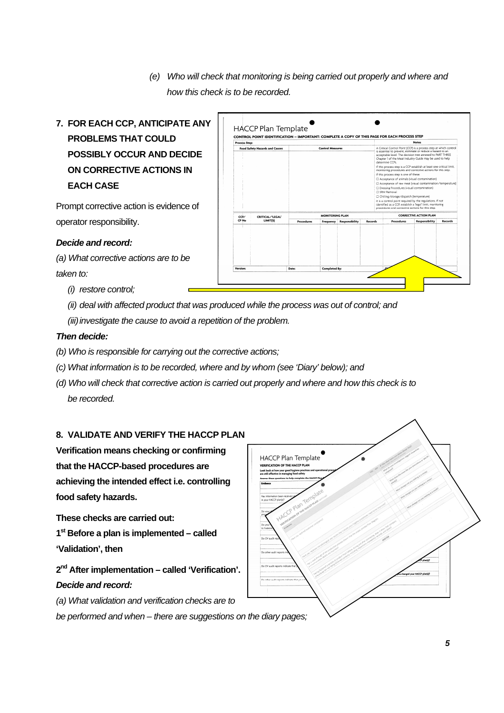- *(e) Who will check that monitoring is being carried out properly and where and how this check is to be recorded.*
- **7. FOR EACH CCP, ANTICIPATE ANY PROBLEMS THAT COULD POSSIBLY OCCUR AND DECIDE ON CORRECTIVE ACTIONS IN EACH CASE**

Prompt corrective action is evidence of operator responsibility.

*Decide and record:* 

*(a) What corrective actions are to be taken to:* 

- *(i) restore control;*
- *(ii) deal with affected product that was produced while the process was out of control; and*

*(iii) investigate the cause to avoid a repetition of the problem.* 

### *Then decide:*

- *(b) Who is responsible for carrying out the corrective actions;*
- *(c) What information is to be recorded, where and by whom (see 'Diary' below); and*
- *(d) Who will check that corrective action is carried out properly and where and how this check is to be recorded.*

### **8. VALIDATE AND VERIFY THE HACCP PLAN**

**Verification means checking or confirming that the HACCP-based procedures are achieving the intended effect i.e. controlling food safety hazards.** 

**These checks are carried out:** 

**1st Before a plan is implemented – called 'Validation', then** 

**2nd After implementation – called 'Verification'.**  *Decide and record:* 

*(a) What validation and verification checks are to* 

*be performed and when – there are suggestions on the diary pages;* 



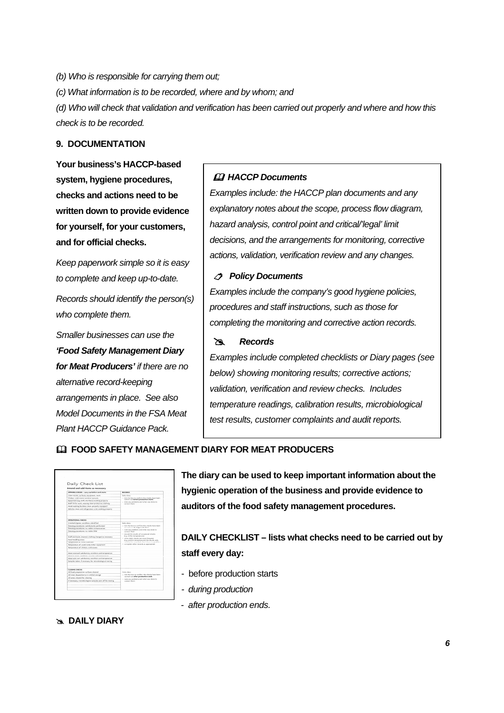*(b) Who is responsible for carrying them out; (c) What information is to be recorded, where and by whom; and (d) Who will check that validation and verification has been carried out properly and where and how this check is to be recorded.* 

## **9. DOCUMENTATION**

**Your business's HACCP-based system, hygiene procedures, checks and actions need to be written down to provide evidence for yourself, for your customers, and for official checks.** 

*Keep paperwork simple so it is easy to complete and keep up-to-date.* 

*Records should identify the person(s) who complete them.* 

*Smaller businesses can use the 'Food Safety Management Diary for Meat Producers' if there are no alternative record-keeping arrangements in place. See also Model Documents in the FSA Meat Plant HACCP Guidance Pack.* 

#### *A* HACCP Documents

*Examples include: the HACCP plan documents and any explanatory notes about the scope, process flow diagram, hazard analysis, control point and critical/'legal' limit decisions, and the arrangements for monitoring, corrective actions, validation, verification review and any changes.*

#### *Policy Documents*

*Examples include the company's good hygiene policies, procedures and staff instructions, such as those for completing the monitoring and corrective action records.* 

#### # *Records*

*Examples include completed checklists or Diary pages (see below) showing monitoring results; corrective actions; validation, verification and review checks. Includes temperature readings, calibration results, microbiological test results, customer complaints and audit reports.*

#### **FOOD SAFETY MANAGEMENT DIARY FOR MEAT PRODUCERS**

| Amend and add items as necessary                         |                                                                                                         |  |  |  |
|----------------------------------------------------------|---------------------------------------------------------------------------------------------------------|--|--|--|
| OPENING CHECKS - carry out before work storts            | accoans                                                                                                 |  |  |  |
| Clean rooms, surfaces, explorated, tools,                | Delly diary.                                                                                            |  |  |  |
| Children codel anonym working constants:                 | - tick the box to confirm the checks have been                                                          |  |  |  |
| Equipment le.g. knife sterlisers) working properly       | carried out before readuction starts.                                                                   |  |  |  |
| Staff fit for work, wearing clean protective clothing    | or engle any write box and done ans done to<br>correct them.                                            |  |  |  |
| Hand weshing facilities clean, properly equipped         |                                                                                                         |  |  |  |
| Vehicles clean and refrigeration units working properly. |                                                                                                         |  |  |  |
| CONFIDENTIAL CHAINS                                      |                                                                                                         |  |  |  |
| Livestock/same: condition, identified                    | Dally dary:                                                                                             |  |  |  |
| Dressine procedures: satisfactorily performed            | = tick the box to confirm the checks have been                                                          |  |  |  |
| Dressing procedures no visible contamination             | carried out dowing predention.                                                                          |  |  |  |
| Dressing procedures: no visible SRM                      | - note any problems and what was done to<br>connect them.<br>- record the results of occasional checks. |  |  |  |
| Staff and tools: cleared, clothing changed as recessary  | le.s. chiller temperatures)                                                                             |  |  |  |
| Food handling areas:                                     | - when daily checks are more frequent.<br>is a product temperatured the results only                    |  |  |  |
| Terracerasser of holds southern                          | cand to be consider when there is a problem.                                                            |  |  |  |
| Temperature of: scald tanks/other equipment              | - complete other records as appropriate                                                                 |  |  |  |
| Temperature of chillers cold mores                       |                                                                                                         |  |  |  |
| Meat received, satisfactory condition and temperature    |                                                                                                         |  |  |  |
| Most in store condition, species and temperature.        |                                                                                                         |  |  |  |
| Mest sent out: satisfactory condition and temperature.   |                                                                                                         |  |  |  |
| Samples taken. If necessary for microbiological testing  |                                                                                                         |  |  |  |
| <b>CLOSENS CURPUS</b>                                    |                                                                                                         |  |  |  |
| All food preparation surfaces cleared                    | Daily diany.                                                                                            |  |  |  |
| All meat dispatched or in chilled storage                | - six) the how to confirm the checks have been<br>carried out after production ends                     |  |  |  |
| All areas cleared for cleaning                           | - note any problems and what was done to                                                                |  |  |  |
|                                                          | contact them.                                                                                           |  |  |  |

**The diary can be used to keep important information about the hygienic operation of the business and provide evidence to auditors of the food safety management procedures.** 

**DAILY CHECKLIST – lists what checks need to be carried out by staff every day:** 

- before production starts
- *during production*
- *after production ends.*

#### **EXAMPLE TO DEARY**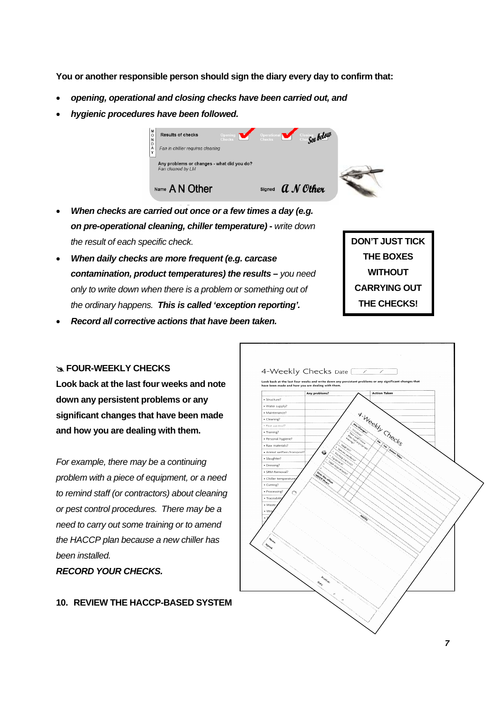**You or another responsible person should sign the diary every day to confirm that:**

- *opening, operational and closing checks have been carried out, and*
- *hygienic procedures have been followed.*



- *When checks are carried out once or a few times a day (e.g. on pre-operational cleaning, chiller temperature)* **-** *write down the result of each specific check.*
- *When daily checks are more frequent (e.g. carcase contamination, product temperatures) the results* **–** *you need only to write down when there is a problem or something out of the ordinary happens. This is called 'exception reporting'.*
- *Record all corrective actions that have been taken.*

#### **EQUR-WEEKLY CHECKS**

**Look back at the last four weeks and note down any persistent problems or any significant changes that have been made and how you are dealing with them.** 

*For example, there may be a continuing problem with a piece of equipment, or a need to remind staff (or contractors) about cleaning or pest control procedures. There may be a need to carry out some training or to amend the HACCP plan because a new chiller has been installed.* 

*RECORD YOUR CHECKS.* 

#### **10. REVIEW THE HACCP-BASED SYSTEM**



**DON'T JUST TICK THE BOXES WITHOUT CARRYING OUT THE CHECKS!**